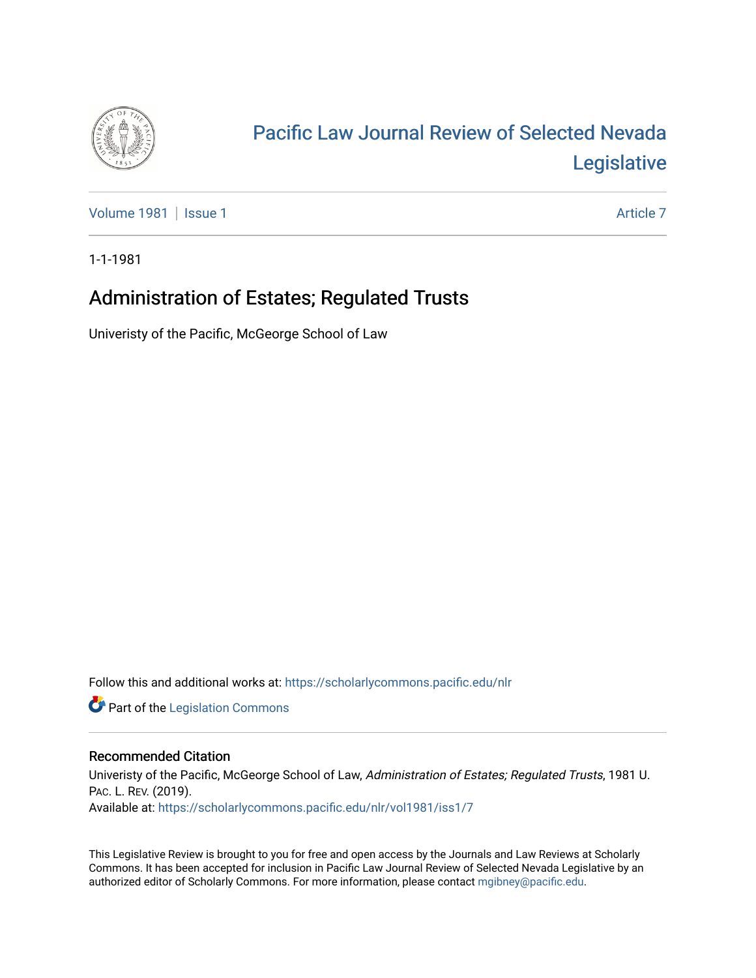

## [Pacific Law Journal Review of Selected Nevada](https://scholarlycommons.pacific.edu/nlr)  [Legislative](https://scholarlycommons.pacific.edu/nlr)

[Volume 1981](https://scholarlycommons.pacific.edu/nlr/vol1981) | [Issue 1](https://scholarlycommons.pacific.edu/nlr/vol1981/iss1) Article 7

1-1-1981

## Administration of Estates; Regulated Trusts

Univeristy of the Pacific, McGeorge School of Law

Follow this and additional works at: [https://scholarlycommons.pacific.edu/nlr](https://scholarlycommons.pacific.edu/nlr?utm_source=scholarlycommons.pacific.edu%2Fnlr%2Fvol1981%2Fiss1%2F7&utm_medium=PDF&utm_campaign=PDFCoverPages) 

**Part of the [Legislation Commons](http://network.bepress.com/hgg/discipline/859?utm_source=scholarlycommons.pacific.edu%2Fnlr%2Fvol1981%2Fiss1%2F7&utm_medium=PDF&utm_campaign=PDFCoverPages)** 

## Recommended Citation

Univeristy of the Pacific, McGeorge School of Law, Administration of Estates; Regulated Trusts, 1981 U. PAC. L. REV. (2019). Available at: [https://scholarlycommons.pacific.edu/nlr/vol1981/iss1/7](https://scholarlycommons.pacific.edu/nlr/vol1981/iss1/7?utm_source=scholarlycommons.pacific.edu%2Fnlr%2Fvol1981%2Fiss1%2F7&utm_medium=PDF&utm_campaign=PDFCoverPages) 

This Legislative Review is brought to you for free and open access by the Journals and Law Reviews at Scholarly Commons. It has been accepted for inclusion in Pacific Law Journal Review of Selected Nevada Legislative by an authorized editor of Scholarly Commons. For more information, please contact [mgibney@pacific.edu](mailto:mgibney@pacific.edu).